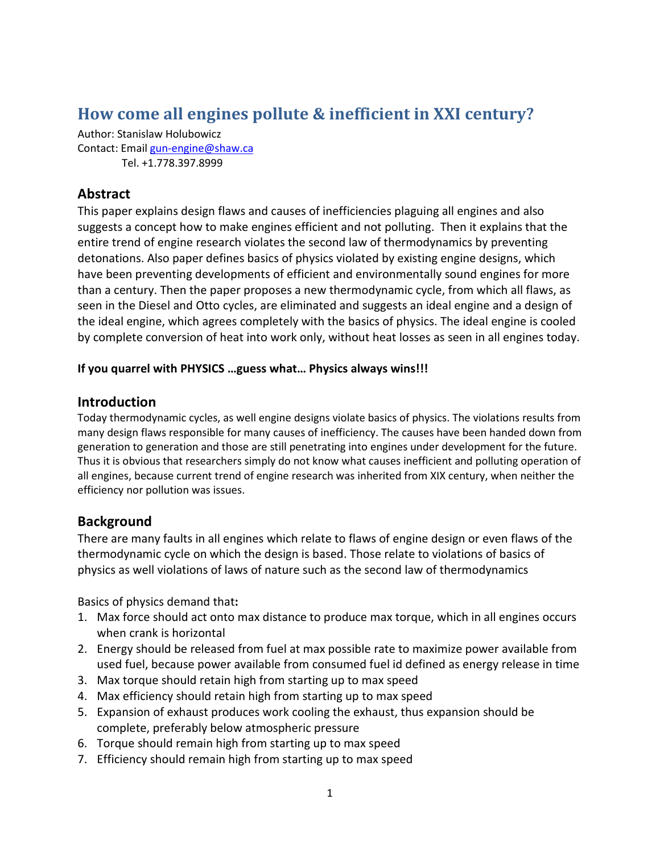# **How come all engines pollute & inefficient in XXI century?**

Author: Stanislaw Holubowicz Contact: Email gun-engine@shaw.ca Tel. +1.778.397.8999

# **Abstract**

This paper explains design flaws and causes of inefficiencies plaguing all engines and also suggests a concept how to make engines efficient and not polluting. Then it explains that the entire trend of engine research violates the second law of thermodynamics by preventing detonations. Also paper defines basics of physics violated by existing engine designs, which have been preventing developments of efficient and environmentally sound engines for more than a century. Then the paper proposes a new thermodynamic cycle, from which all flaws, as seen in the Diesel and Otto cycles, are eliminated and suggests an ideal engine and a design of the ideal engine, which agrees completely with the basics of physics. The ideal engine is cooled by complete conversion of heat into work only, without heat losses as seen in all engines today.

#### **If you quarrel with PHYSICS …guess what… Physics always wins!!!**

## **Introduction**

Today thermodynamic cycles, as well engine designs violate basics of physics. The violations results from many design flaws responsible for many causes of inefficiency. The causes have been handed down from generation to generation and those are still penetrating into engines under development for the future. Thus it is obvious that researchers simply do not know what causes inefficient and polluting operation of all engines, because current trend of engine research was inherited from XIX century, when neither the efficiency nor pollution was issues.

## **Background**

There are many faults in all engines which relate to flaws of engine design or even flaws of the thermodynamic cycle on which the design is based. Those relate to violations of basics of physics as well violations of laws of nature such as the second law of thermodynamics

Basics of physics demand that**:** 

- 1. Max force should act onto max distance to produce max torque, which in all engines occurs when crank is horizontal
- 2. Energy should be released from fuel at max possible rate to maximize power available from used fuel, because power available from consumed fuel id defined as energy release in time
- 3. Max torque should retain high from starting up to max speed
- 4. Max efficiency should retain high from starting up to max speed
- 5. Expansion of exhaust produces work cooling the exhaust, thus expansion should be complete, preferably below atmospheric pressure
- 6. Torque should remain high from starting up to max speed
- 7. Efficiency should remain high from starting up to max speed